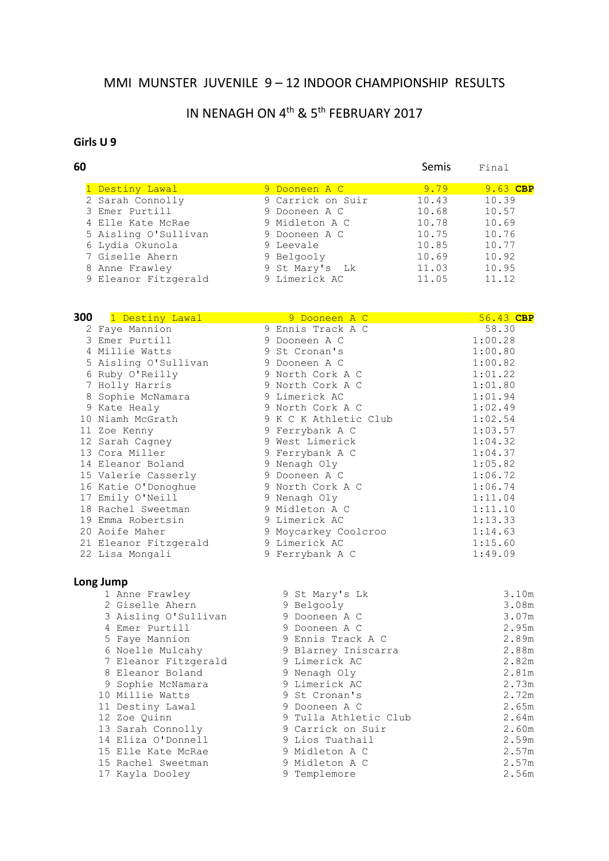#### MMI MUNSTER JUVENILE 9 – 12 INDOOR CHAMPIONSHIP RESULTS

# IN NENAGH ON 4<sup>th</sup> & 5<sup>th</sup> FEBRUARY 2017

#### **Girls U 9**

| Semis<br>Final     |
|--------------------|
| $9.63$ CBP<br>9.79 |
| 10.39<br>10.43     |
| 10.57<br>10.68     |
| 10.69<br>10.78     |
| 10.76<br>10.75     |
| 10.77<br>10.85     |
| 10.92<br>10.69     |
| 10.95<br>11.03     |
| 11.12<br>11.05     |
|                    |

| 300 | 1 Destiny Lawal       | 9 Dooneen A C         | 56.43 CBP |
|-----|-----------------------|-----------------------|-----------|
|     | 2 Faye Mannion        | 9 Ennis Track A C     | 58.30     |
|     | 3 Emer Purtill        | 9 Dooneen A C         | 1:00.28   |
|     | 4 Millie Watts        | 9 St Cronan's         | 1:00.80   |
|     | 5 Aisling O'Sullivan  | 9 Dooneen A C         | 1:00.82   |
|     | 6 Ruby O'Reilly       | 9 North Cork A C      | 1:01.22   |
|     | 7 Holly Harris        | 9 North Cork A C      | 1:01.80   |
|     | 8 Sophie McNamara     | 9 Limerick AC         | 1:01.94   |
|     | 9 Kate Healy          | 9 North Cork A C      | 1:02.49   |
|     | 10 Niamh McGrath      | 9 K C K Athletic Club | 1:02.54   |
|     | 11 Zoe Kenny          | 9 Ferrybank A C       | 1:03.57   |
|     | 12 Sarah Cagney       | 9 West Limerick       | 1:04.32   |
|     | 13 Cora Miller        | 9 Ferrybank A C       | 1:04.37   |
|     | 14 Eleanor Boland     | 9 Nenagh Oly          | 1:05.82   |
|     | 15 Valerie Casserly   | 9 Dooneen A C         | 1:06.72   |
|     | 16 Katie O'Donoghue   | 9 North Cork A C      | 1:06.74   |
|     | 17 Emily O'Neill      | 9 Nenagh Oly          | 1:11.04   |
|     | 18 Rachel Sweetman    | 9 Midleton A C        | 1:11.10   |
|     | 19 Emma Robertsin     | 9 Limerick AC         | 1:13.33   |
|     | 20 Aoife Maher        | 9 Moycarkey Coolcroo  | 1:14.63   |
|     | 21 Eleanor Fitzgerald | 9 Limerick AC         | 1:15.60   |
|     | 22 Lisa Mongali       | 9 Ferrybank A C       | 1:49.09   |
|     |                       |                       |           |

|  | 1 Anne Frawley       | 9 St Mary's Lk        | 3.10m |
|--|----------------------|-----------------------|-------|
|  | 2 Giselle Ahern      | 9 Belgooly            | 3.08m |
|  | 3 Aisling O'Sullivan | 9 Dooneen A C         | 3.07m |
|  | 4 Emer Purtill       | 9 Dooneen A C         | 2.95m |
|  | 5 Faye Mannion       | 9 Ennis Track A C     | 2.89m |
|  | 6 Noelle Mulcahy     | 9 Blarney Iniscarra   | 2.88m |
|  | 7 Eleanor Fitzgerald | 9 Limerick AC         | 2.82m |
|  | 8 Eleanor Boland     | 9 Nenagh Oly          | 2.81m |
|  | 9 Sophie McNamara    | 9 Limerick AC         | 2.73m |
|  | 10 Millie Watts      | 9 St Cronan's         | 2.72m |
|  | 11 Destiny Lawal     | 9 Dooneen A C         | 2.65m |
|  | 12 Zoe Ouinn         | 9 Tulla Athletic Club | 2.64m |
|  | 13 Sarah Connolly    | 9 Carrick on Suir     | 2.60m |
|  | 14 Eliza O'Donnell   | 9 Lios Tuathail       | 2.59m |
|  | 15 Elle Kate McRae   | 9 Midleton A C        | 2.57m |
|  | 15 Rachel Sweetman   | 9 Midleton A C        | 2.57m |
|  | 17 Kayla Dooley      | 9 Templemore          | 2.56m |
|  |                      |                       |       |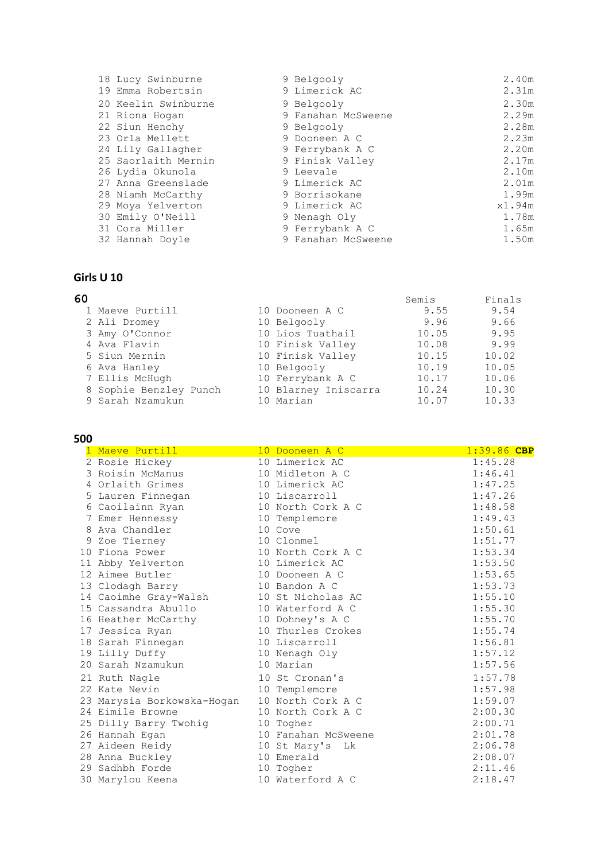| 18 Lucy Swinburne   | 9 Belgooly         | 2.40m  |
|---------------------|--------------------|--------|
| 19 Emma Robertsin   | 9 Limerick AC      | 2.31m  |
| 20 Keelin Swinburne | 9 Belgooly         | 2.30m  |
| 21 Riona Hogan      | 9 Fanahan McSweene | 2.29m  |
| 22 Siun Henchy      | 9 Belgooly         | 2.28m  |
| 23 Orla Mellett     | 9 Dooneen A C      | 2.23m  |
| 24 Lily Gallagher   | 9 Ferrybank A C    | 2.20m  |
| 25 Saorlaith Mernin | 9 Finisk Valley    | 2.17m  |
| 26 Lydia Okunola    | 9 Leevale          | 2.10m  |
| 27 Anna Greenslade  | 9 Limerick AC      | 2.01m  |
| 28 Niamh McCarthy   | 9 Borrisokane      | 1.99m  |
| 29 Moya Yelverton   | 9 Limerick AC      | x1.94m |
| 30 Emily O'Neill    | 9 Nenagh Oly       | 1.78m  |
| 31 Cora Miller      | 9 Ferrybank A C    | 1.65m  |
| 32 Hannah Doyle     | 9 Fanahan McSweene | 1.50m  |

#### **Girls U 10**

| 60 |                        |                      | Semis | Finals |
|----|------------------------|----------------------|-------|--------|
|    | 1 Maeve Purtill        | 10 Dooneen A C       | 9.55  | 9.54   |
|    | 2 Ali Dromey           | 10 Belgooly          | 9.96  | 9.66   |
|    | 3 Amy O'Connor         | 10 Lios Tuathail     | 10.05 | 9.95   |
|    | 4 Ava Flavin           | 10 Finisk Valley     | 10.08 | 9.99   |
|    | 5 Siun Mernin          | 10 Finisk Valley     | 10.15 | 10.02  |
|    | 6 Ava Hanley           | 10 Belgooly          | 10.19 | 10.05  |
|    | 7 Ellis McHugh         | 10 Ferrybank A C     | 10.17 | 10.06  |
|    | 8 Sophie Benzley Punch | 10 Blarney Iniscarra | 10.24 | 10.30  |
|    | 9 Sarah Nzamukun       | 10 Marian            | 10.07 | 10.33  |

#### **500**

| 1 Maeve Purtill            | 10 Dooneen A C      | 1:39.86 CBP |
|----------------------------|---------------------|-------------|
| 2 Rosie Hickey             | 10 Limerick AC      | 1:45.28     |
| 3 Roisin McManus           | 10 Midleton A C     | 1:46.41     |
| 4 Orlaith Grimes           | 10 Limerick AC      | 1:47.25     |
| 5 Lauren Finnegan          | 10 Liscarroll       | 1:47.26     |
| 6 Caoilainn Ryan           | 10 North Cork A C   | 1:48.58     |
| 7 Emer Hennessy            | 10 Templemore       | 1:49.43     |
| 8 Ava Chandler             | 10 Cove             | 1:50.61     |
| 9 Zoe Tierney              | 10 Clonmel          | 1:51.77     |
| 10 Fiona Power             | 10 North Cork A C   | 1:53.34     |
| 11 Abby Yelverton          | 10 Limerick AC      | 1:53.50     |
| 12 Aimee Butler            | 10 Dooneen A C      | 1:53.65     |
| 13 Clodagh Barry           | 10 Bandon A C       | 1:53.73     |
| 14 Caoimhe Gray-Walsh      | 10 St Nicholas AC   | 1:55.10     |
| 15 Cassandra Abullo III    | 10 Waterford A C    | 1:55.30     |
| 16 Heather McCarthy        | 10 Dohney's A C     | 1:55.70     |
| 17 Jessica Ryan            | 10 Thurles Crokes   | 1:55.74     |
| 18 Sarah Finnegan          | 10 Liscarroll       | 1:56.81     |
| 19 Lilly Duffy             | 10 Nenagh Oly       | 1:57.12     |
| 20 Sarah Nzamukun          | 10 Marian           | 1:57.56     |
| 21 Ruth Nagle              | 10 St Cronan's      | 1:57.78     |
| 22 Kate Nevin              | 10 Templemore       | 1:57.98     |
| 23 Marysia Borkowska-Hogan | 10 North Cork A C   | 1:59.07     |
| 24 Eimile Browne           | 10 North Cork A C   | 2:00.30     |
| 25 Dilly Barry Twohiq      | 10 Togher           | 2:00.71     |
| 26 Hannah Egan             | 10 Fanahan McSweene | 2:01.78     |
| 27 Aideen Reidy            | 10 St Mary's Lk     | 2:06.78     |
| 28 Anna Buckley            | 10 Emerald          | 2:08.07     |
| 29 Sadhbh Forde            | 10 Togher           | 2:11.46     |
| 30 Marylou Keena           | 10 Waterford A C    | 2:18.47     |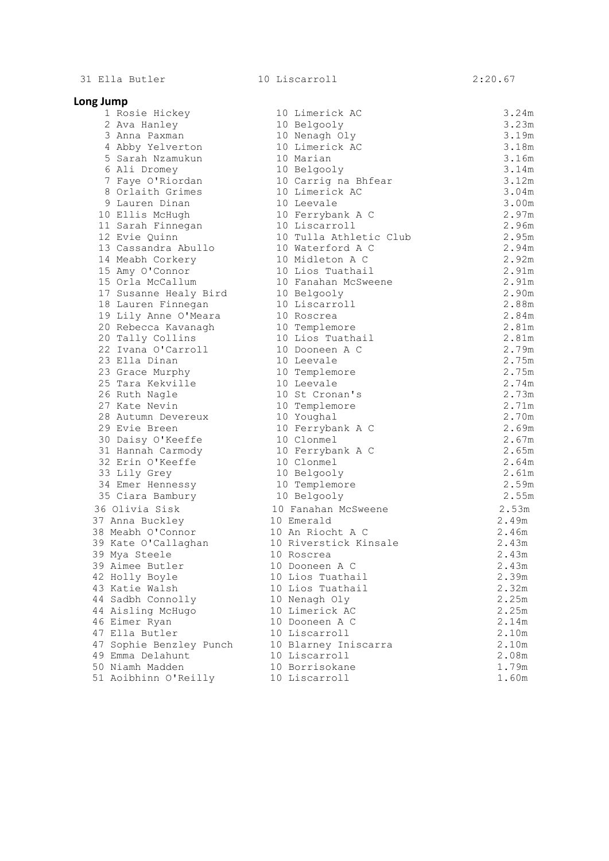31 Ella Butler 10 Liscarroll 2:20.67

**Long Jump**

| յ Jump                                      |                                       |                |
|---------------------------------------------|---------------------------------------|----------------|
| 1 Rosie Hickey                              | 10 Limerick AC                        | 3.24m          |
| 2 Ava Hanley                                | 10 Belgooly                           | 3.23m          |
| 3 Anna Paxman                               | 10 Nenagh Oly                         | 3.19m          |
| 4 Abby Yelverton                            | 10 Limerick AC                        | 3.18m          |
| 5 Sarah Nzamukun                            | 10 Marian                             | 3.16m          |
| 6 Ali Dromey                                | 10 Belgooly                           | 3.14m          |
| 7 Faye O'Riordan                            | 10 Carrig na Bhfear                   | 3.12m          |
| 8 Orlaith Grimes                            | 10 Limerick AC                        | 3.04m          |
| 9 Lauren Dinan                              | 10 Leevale                            | 3.00m          |
| 10 Ellis McHugh                             | 10 Ferrybank A C                      | 2.97m          |
| 11 Sarah Finnegan                           | 10 Liscarroll                         | 2.96m          |
| 12 Evie Quinn                               | 10 Tulla Athletic Club                | 2.95m          |
| 13 Cassandra Abullo                         | 10 Waterford A C                      | 2.94m          |
| 14 Meabh Corkery                            | 10 Midleton A C                       | 2.92m          |
| 15 Amy O'Connor                             | 10 Lios Tuathail                      | 2.91m          |
| 15 Orla McCallum                            | 10 Fanahan McSweene                   | 2.91m          |
| 17 Susanne Healy Bird 10 Belgooly           |                                       | 2.90m          |
| 18 Lauren Finnegan                          | 10 Liscarroll                         | 2.88m          |
| 19 Lily Anne O'Meara                        | 10 Roscrea                            | 2.84m          |
| 20 Rebecca Kavanagh                         | 10 Templemore                         | 2.81m          |
| 20 Tally Collins                            | 10 Lios Tuathail                      | 2.81m          |
| 22 Ivana O'Carroll                          | 10 Dooneen A C                        | 2.79m          |
| 23 Ella Dinan                               | 10 Leevale                            | 2.75m          |
| 23 Grace Murphy                             | 10 Templemore                         | 2.75m          |
| 25 Tara Kekville                            | 10 Leevale                            | 2.74m          |
| 26 Ruth Nagle                               | 10 St Cronan's                        | 2.73m          |
| 27 Kate Nevin                               | 10 Templemore                         | 2.71m          |
| 28 Autumn Devereux                          | 10 Youghal                            | 2.70m          |
| 29 Evie Breen                               | 10 Ferrybank A C                      | 2.69m          |
| 30 Daisy O'Keeffe                           | 10 Clonmel                            | 2.67m          |
| 31 Hannah Carmody                           | 10 Ferrybank A C                      | 2.65m          |
| 32 Erin O'Keeffe                            | 10 Clonmel                            | 2.64m          |
| 33 Lily Grey                                | 10 Belgooly                           | 2.61m          |
| 34 Emer Hennessy                            | 10 Templemore                         | 2.59m          |
| 35 Ciara Bambury                            | 10 Belgooly                           | 2.55m          |
| 36 Olivia Sisk                              | 10 Fanahan McSweene                   | 2.53m          |
| 37 Anna Buckley                             | 10 Emerald                            | 2.49m          |
| 38 Meabh O'Connor                           | 10 An Riocht A C                      | 2.46m          |
| 39 Kate O'Callaghan                         | 10 Riverstick Kinsale                 | 2.43m          |
| 39 Mya Steele                               | 10 Roscrea                            | 2.43m          |
| 39 Aimee Butler                             | 10 Dooneen A C                        | 2.43m          |
| 42 Holly Boyle                              | 10 Lios Tuathail                      | 2.39m          |
| 43 Katie Walsh                              | 10 Lios Tuathail                      | 2.32m          |
| 44 Sadbh Connolly                           | 10 Nenagh Oly                         | 2.25m          |
| 44 Aisling McHugo                           | 10 Limerick AC                        | 2.25m          |
| 46 Eimer Ryan                               | 10 Dooneen A C                        | 2.14m          |
| 47 Ella Butler                              | 10 Liscarroll                         | 2.10m          |
| 47 Sophie Benzley Punch<br>19 Emma Delahunt | 10 Blarney Iniscarra<br>10 Liscarroll | 2.10m<br>2.08m |
| 50 Niamh Madden                             | 10 Borrisokane                        |                |
| 51 Aoibhinn O'Reilly                        | 10 Liscarroll                         | 1.79m<br>1.60m |
|                                             |                                       |                |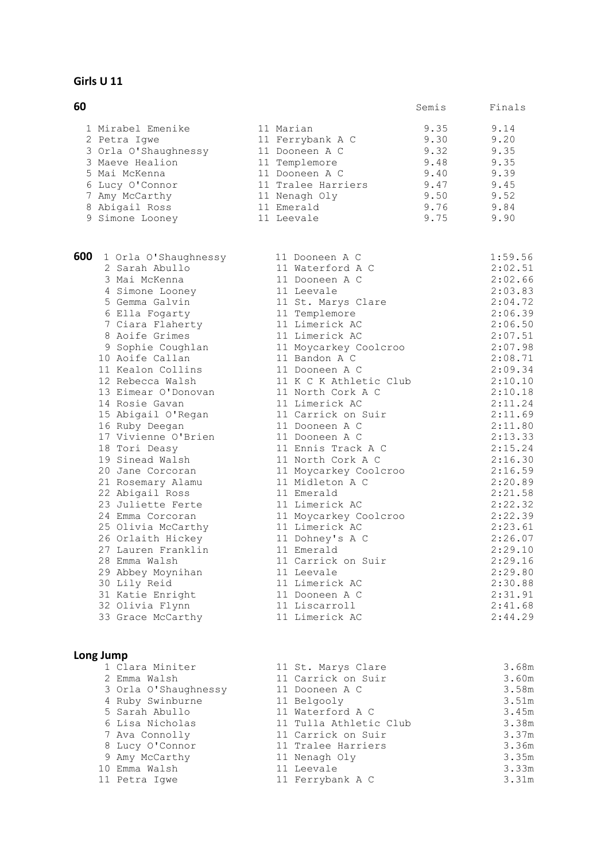#### **Girls U 11**

| 60 |                      |                    | Semis | Finals |
|----|----------------------|--------------------|-------|--------|
|    | 1 Mirabel Emenike    | 11 Marian          | 9.35  | 9.14   |
|    | 2 Petra Iqwe         | 11 Ferrybank A C   | 9.30  | 9.20   |
|    | 3 Orla O'Shaughnessy | 11 Dooneen A C     | 9.32  | 9.35   |
|    | 3 Maeve Healion      | 11 Templemore      | 9.48  | 9.35   |
|    | 5 Mai McKenna        | 11 Dooneen A C     | 9.40  | 9.39   |
|    | 6 Lucy O'Connor      | 11 Tralee Harriers | 9.47  | 9.45   |
|    | 7 Amy McCarthy       | 11 Nenagh Oly      | 9.50  | 9.52   |
|    | 8 Abigail Ross       | 11 Emerald         | 9.76  | 9.84   |
|    | 9 Simone Looney      | 11 Leevale         | 9.75  | 9.90   |

**600** 1 Orla O'Shaughnessy 11 Dooneen A C 1:59.56 2 Sarah Abullo 11 Waterford A C 2:02.51 3 Mai McKenna 11 Dooneen A C 2:02.66 4 Simone Looney 11 Leevale 2:03.83 5 Gemma Galvin 11 St. Marys Clare 2:04.72 6 Ella Fogarty 11 Templemore 2:06.39 7 Ciara Flaherty 11 Limerick AC 2:06.50 8 Aoife Grimes 11 Limerick AC 2:07.51 9 Sophie Coughlan 11 Moycarkey Coolcroo 2:07.98 10 Aoife Callan 11 Bandon A C 2:08.71 11 Kealon Collins 11 Dooneen A C 2:09.34 12 Rebecca Walsh 11 K C K Athletic Club 2:10.10 13 Eimear O'Donovan 11 North Cork A C 2:10.18 14 Rosie Gavan 11 Limerick AC 2:11.24 15 Abigail O'Regan 11 Carrick on Suir 2:11.69 16 Ruby Deegan 11 Dooneen A C 2:11.80 17 Vivienne O'Brien 11 Dooneen A C 2:13.33 18 Tori Deasy 11 Ennis Track A C 2:15.24 19 Sinead Walsh 11 North Cork A C 2:16.30 20 Jane Corcoran 11 Moycarkey Coolcroo 2:16.59 21 Rosemary Alamu 11 Midleton A C 2:20.89 22 Abigail Ross 11 Emerald 2:21.58 23 Juliette Ferte 11 Limerick AC 2:22.32 24 Emma Corcoran 11 Moycarkey Coolcroo 2:22.39 25 Olivia McCarthy 11 Limerick AC 2:23.61 26 Orlaith Hickey 11 Dohney's A C 2:26.07 27 Lauren Franklin 11 Emerald 2:29.10 28 Emma Walsh 11 Carrick on Suir 2:29.16 29 Abbey Moynihan 11 Leevale 2:29.80 30 Lily Reid 11 Limerick AC 2:30.88 31 Katie Enright 11 Dooneen A C 2:31.91 32 Olivia Flynn 11 Liscarroll 2:41.68 33 Grace McCarthy 11 Limerick AC 2:44.29

|  | 1 Clara Miniter      | 11 St. Marys Clare     | 3.68m |
|--|----------------------|------------------------|-------|
|  | 2 Emma Walsh         | 11 Carrick on Suir     | 3.60m |
|  | 3 Orla O'Shaughnessy | 11 Dooneen A C         | 3.58m |
|  | 4 Ruby Swinburne     | 11 Belgooly            | 3.51m |
|  | 5 Sarah Abullo       | 11 Waterford A C       | 3.45m |
|  | 6 Lisa Nicholas      | 11 Tulla Athletic Club | 3.38m |
|  | 7 Ava Connolly       | 11 Carrick on Suir     | 3.37m |
|  | 8 Lucy O'Connor      | 11 Tralee Harriers     | 3.36m |
|  | 9 Amy McCarthy       | 11 Nenagh Oly          | 3.35m |
|  | 10 Emma Walsh        | 11 Leevale             | 3.33m |
|  | 11 Petra Iqwe        | 11 Ferrybank A C       | 3.31m |
|  |                      |                        |       |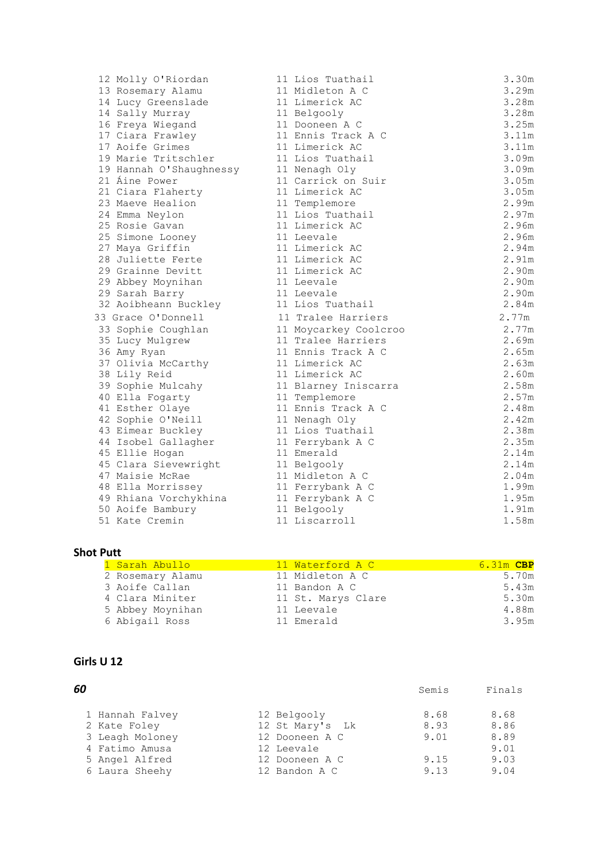| 12 Molly O'Riordan                 | 11 Lios Tuathail             | 3.30m          |
|------------------------------------|------------------------------|----------------|
| 13 Rosemary Alamu                  | 11 Midleton A C              | 3.29m          |
| 14 Lucy Greenslade                 | 11 Limerick AC               | 3.28m          |
| 14 Sally Murray                    | 11 Belgooly                  | 3.28m          |
| 16 Freya Wiegand                   | 11 Dooneen A C               | 3.25m          |
| 17 Ciara Frawley                   | 11 Ennis Track A C           | 3.11m          |
| 17 Aoife Grimes                    | 11 Limerick AC               | 3.11m          |
| 19 Marie Tritschler                | 11 Lios Tuathail             | 3.09m          |
| 19 Hannah O'Shaughnessy            | 11 Nenagh Oly                | 3.09m          |
| 21 Áine Power                      | 11 Carrick on Suir           | 3.05m          |
| 21 Ciara Flaherty                  | 11 Limerick AC               | 3.05m          |
| 23 Maeve Healion                   | 11 Templemore                | 2.99m          |
| 24 Emma Neylon                     | 11 Lios Tuathail             | 2.97m          |
| 25 Rosie Gavan                     | 11 Limerick AC               | 2.96m          |
| 25 Simone Looney                   | 11 Leevale                   | 2.96m          |
| 27 Maya Griffin                    | 11 Limerick AC               | 2.94m          |
| 28 Juliette Ferte                  | 11 Limerick AC               | 2.91m          |
| 29 Grainne Devitt                  | 11 Limerick AC               | 2.90m          |
| 29 Abbey Moynihan                  | 11 Leevale                   | 2.90m          |
| 29 Sarah Barry                     | 11 Leevale                   | 2.90m          |
| 32 Aoibheann Buckley               | 11 Lios Tuathail             | 2.84m          |
| 33 Grace O'Donnell                 | 11 Tralee Harriers           | 2.77m          |
| 33 Sophie Coughlan                 | 11 Moycarkey Coolcroo        | 2.77m          |
| 35 Lucy Mulgrew                    | 11 Tralee Harriers           | 2.69m          |
|                                    | 11 Ennis Track A C           | 2.65m          |
| 36 Amy Ryan                        |                              |                |
| 37 Olivia McCarthy                 | 11 Limerick AC               | 2.63m          |
| 38 Lily Reid                       | 11 Limerick AC               | 2.60m          |
| 39 Sophie Mulcahy                  | 11 Blarney Iniscarra         | 2.58m          |
| 40 Ella Fogarty                    | 11 Templemore                | 2.57m          |
| 41 Esther Olaye                    | 11 Ennis Track A C           | 2.48m          |
| 42 Sophie O'Neill                  | 11 Nenagh Oly                | 2.42m          |
| 43 Eimear Buckley                  | 11 Lios Tuathail             | 2.38m          |
| 44 Isobel Gallagher                | 11 Ferrybank A C             | 2.35m          |
| 45 Ellie Hogan                     | 11 Emerald                   | 2.14m          |
| 45 Clara Sievewright               | 11 Belgooly                  | 2.14m          |
| 47 Maisie McRae                    | 11 Midleton A C              | 2.04m          |
| 48 Ella Morrissey                  | 11 Ferrybank A C             | 1.99m          |
| 49 Rhiana Vorchykhina              | 11 Ferrybank A C             | 1.95m          |
| 50 Aoife Bambury<br>51 Kate Cremin | 11 Belgooly<br>11 Liscarroll | 1.91m<br>1.58m |

#### **Shot Putt**

| 1 Sarah Abullo   | 11 Waterford A C   | $6.31m$ CBP |
|------------------|--------------------|-------------|
| 2 Rosemary Alamu | 11 Midleton A C    | 5.70m       |
| 3 Aoife Callan   | 11 Bandon A C      | 5.43m       |
| 4 Clara Miniter  | 11 St. Marys Clare | 5.30m       |
| 5 Abbey Moynihan | 11 Leevale         | 4.88m       |
| 6 Abigail Ross   | 11 Emerald         | 3.95m       |
|                  |                    |             |

#### **Girls U 12**

| 60 |                 |                 | Semis | Finals |
|----|-----------------|-----------------|-------|--------|
|    | 1 Hannah Falvey | 12 Belgooly     | 8.68  | 8.68   |
|    | 2 Kate Foley    | 12 St Mary's Lk | 8.93  | 8.86   |
|    | 3 Leagh Moloney | 12 Dooneen A C  | 9.01  | 8.89   |
|    | 4 Fatimo Amusa  | 12 Leevale      |       | 9.01   |
|    | 5 Angel Alfred  | 12 Dooneen A C  | 9.15  | 9.03   |
|    | 6 Laura Sheehy  | 12 Bandon A C   | 9.13  | 9.04   |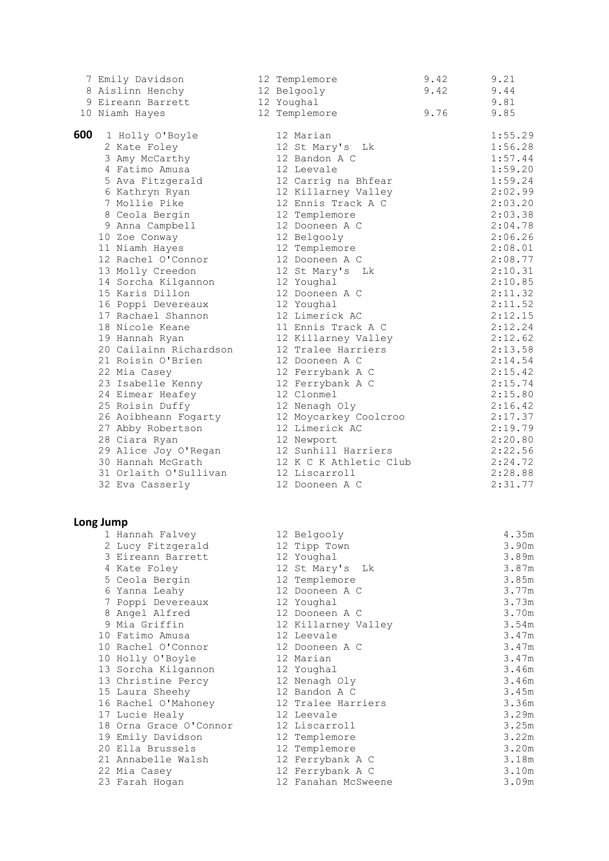|     | 7 Emily Davidson       | 12 Templemore          | 9.42 | 9.21    |
|-----|------------------------|------------------------|------|---------|
|     | 8 Aislinn Henchy       | 12 Belgooly            | 9.42 | 9.44    |
|     | 9 Eireann Barrett      | 12 Youghal             |      | 9.81    |
|     | 10 Niamh Hayes         | 12 Templemore          | 9.76 | 9.85    |
| 600 |                        |                        |      |         |
|     | 1 Holly O'Boyle        | 12 Marian              |      | 1:55.29 |
|     | 2 Kate Foley           | 12 St Mary's Lk        |      | 1:56.28 |
|     | 3 Amy McCarthy         | 12 Bandon A C          |      | 1:57.44 |
|     | 4 Fatimo Amusa         | 12 Leevale             |      | 1:59.20 |
|     | 5 Ava Fitzgerald       | 12 Carrig na Bhfear    |      | 1:59.24 |
|     | 6 Kathryn Ryan         | 12 Killarney Valley    |      | 2:02.99 |
|     | 7 Mollie Pike          | 12 Ennis Track A C     |      | 2:03.20 |
|     | 8 Ceola Bergin         | 12 Templemore          |      | 2:03.38 |
|     | 9 Anna Campbell        | 12 Dooneen A C         |      | 2:04.78 |
|     | 10 Zoe Conway          | 12 Belgooly            |      | 2:06.26 |
|     | 11 Niamh Hayes         | 12 Templemore          |      | 2:08.01 |
|     | 12 Rachel O'Connor     | 12 Dooneen A C         |      | 2:08.77 |
|     | 13 Molly Creedon       | 12 St Mary's Lk        |      | 2:10.31 |
|     | 14 Sorcha Kilgannon    | 12 Youghal             |      | 2:10.85 |
|     | 15 Karis Dillon        | 12 Dooneen A C         |      | 2:11.32 |
|     | 16 Poppi Devereaux     | 12 Youghal             |      | 2:11.52 |
|     | 17 Rachael Shannon     | 12 Limerick AC         |      | 2:12.15 |
|     |                        | 11 Ennis Track A C     |      |         |
|     | 18 Nicole Keane        |                        |      | 2:12.24 |
|     | 19 Hannah Ryan         | 12 Killarney Valley    |      | 2:12.62 |
|     | 20 Cailainn Richardson | 12 Tralee Harriers     |      | 2:13.58 |
|     | 21 Roisin O'Brien      | 12 Dooneen A C         |      | 2:14.54 |
|     | 22 Mia Casey           | 12 Ferrybank A C       |      | 2:15.42 |
|     | 23 Isabelle Kenny      | 12 Ferrybank A C       |      | 2:15.74 |
|     | 24 Eimear Heafey       | 12 Clonmel             |      | 2:15.80 |
|     | 25 Roisin Duffy        | 12 Nenagh Oly          |      | 2:16.42 |
|     | 26 Aoibheann Fogarty   | 12 Moycarkey Coolcroo  |      | 2:17.37 |
|     | 27 Abby Robertson      | 12 Limerick AC         |      | 2:19.79 |
|     | 28 Ciara Ryan          | 12 Newport             |      | 2:20.80 |
|     | 29 Alice Joy O'Regan   | 12 Sunhill Harriers    |      | 2:22.56 |
|     | 30 Hannah McGrath      | 12 K C K Athletic Club |      | 2:24.72 |
|     | 31 Orlaith O'Sullivan  | 12 Liscarroll          |      | 2:28.88 |
|     | 32 Eva Casserly        | 12 Dooneen A C         |      | 2:31.77 |
|     |                        |                        |      |         |
|     | Long Jump              |                        |      |         |
|     | 1 Hannah Falvey        | 12 Belgooly            |      | 4.35m   |
|     | 2 Lucy Fitzgerald      | 12 Tipp Town           |      | 3.90m   |
|     | 3 Eireann Barrett      | 12 Youghal             |      | 3.89m   |
|     | 4 Kate Foley           | 12 St Mary's<br>Lk     |      | 3.87m   |
|     | 5 Ceola Bergin         | 12 Templemore          |      | 3.85m   |
|     | 6 Yanna Leahy          | 12 Dooneen A C         |      | 3.77m   |
|     | 7 Poppi Devereaux      | 12 Youghal             |      | 3.73m   |
|     | 8 Angel Alfred         | 12 Dooneen A C         |      | 3.70m   |
|     | 9 Mia Griffin          | 12 Killarney Valley    |      | 3.54m   |
|     | 10 Fatimo Amusa        | 12 Leevale             |      | 3.47m   |
|     | 10 Rachel O'Connor     | 12 Dooneen A C         |      | 3.47m   |
|     | 10 Holly O'Boyle       | 12 Marian              |      | 3.47m   |
|     | 13 Sorcha Kilgannon    | 12 Youghal             |      | 3.46m   |
|     | 13 Christine Percy     | 12 Nenagh Oly          |      | 3.46m   |
|     | 15 Laura Sheehy        | 12 Bandon A C          |      | 3.45m   |
|     | 16 Rachel O'Mahoney    | 12 Tralee Harriers     |      | 3.36m   |
|     | 17 Lucie Healy         | 12 Leevale             |      | 3.29m   |
|     | 18 Orna Grace O'Connor | 12 Liscarroll          |      | 3.25m   |
|     | 19 Emily Davidson      | 12 Templemore          |      | 3.22m   |
|     | 20 Ella Brussels       | 12 Templemore          |      | 3.20m   |
|     | 21 Annabelle Walsh     | 12 Ferrybank A C       |      | 3.18m   |
|     |                        | 12 Ferrybank A C       |      | 3.10m   |
|     | 22 Mia Casey           | 12 Fanahan McSweene    |      | 3.09m   |
|     | 23 Farah Hogan         |                        |      |         |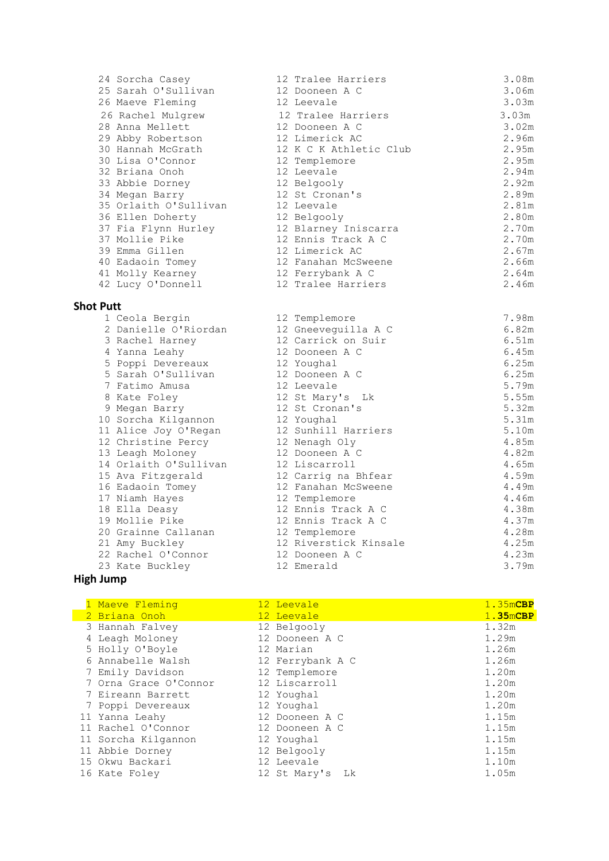| 24 Sorcha Casey       | 12 Tralee Harriers     | 3.08m |
|-----------------------|------------------------|-------|
| 25 Sarah O'Sullivan   | 12 Dooneen A C         | 3.06m |
| 26 Maeve Fleming      | 12 Leevale             | 3.03m |
| 26 Rachel Mulgrew     | 12 Tralee Harriers     | 3.03m |
| 28 Anna Mellett       | 12 Dooneen A C         | 3.02m |
| 29 Abby Robertson     | 12 Limerick AC         | 2.96m |
| 30 Hannah McGrath     | 12 K C K Athletic Club | 2.95m |
| 30 Lisa O'Connor      | 12 Templemore          | 2.95m |
| 32 Briana Onoh        | 12 Leevale             | 2.94m |
| 33 Abbie Dorney       | 12 Belgooly            | 2.92m |
| 34 Megan Barry        | 12 St Cronan's         | 2.89m |
| 35 Orlaith O'Sullivan | 12 Leevale             | 2.81m |
| 36 Ellen Doherty      | 12 Belgooly            | 2.80m |
| 37 Fia Flynn Hurley   | 12 Blarney Iniscarra   | 2.70m |
| 37 Mollie Pike        | 12 Ennis Track A C     | 2.70m |
| 39 Emma Gillen        | 12 Limerick AC         | 2.67m |
| 40 Eadaoin Tomey      | 12 Fanahan McSweene    | 2.66m |
| 41 Molly Kearney      | 12 Ferrybank A C       | 2.64m |
| 42 Lucy O'Donnell     | 12 Tralee Harriers     | 2.46m |
| <b>Shot Putt</b>      |                        |       |
| 1 Ceola Bergin        | 12 Templemore          | 7.98m |
| 2 Danielle O'Riordan  | 12 Gneeveguilla A C    | 6.82m |
| 3 Rachel Harney       | 12 Carrick on Suir     | 6.51m |
| 4 Yanna Leahy         | 12 Dooneen A C         | 6.45m |
| 5 Poppi Devereaux     | 12 Youghal             | 6.25m |
| 5 Sarah O'Sullivan    | 12 Dooneen A C         | 6.25m |
| 7 Fatimo Amusa        | 12 Leevale             | 5.79m |
| 8 Kate Foley          | 12 St Mary's Lk        | 5.55m |
| 9 Megan Barry         | 12 St Cronan's         | 5.32m |
| 10 Sorcha Kilgannon   | 12 Youghal             | 5.31m |
| 11 Alice Joy O'Regan  | 12 Sunhill Harriers    | 5.10m |
| 12 Christine Percy    | 12 Nenagh Oly          | 4.85m |
| 13 Leagh Moloney      | 12 Dooneen A C         | 4.82m |
| 14 Orlaith O'Sullivan | 12 Liscarroll          | 4.65m |
| 15 Ava Fitzgerald     | 12 Carrig na Bhfear    | 4.59m |
| 16 Eadaoin Tomey      | 12 Fanahan McSweene    | 4.49m |
| 17 Niamh Hayes        | 12 Templemore          | 4.46m |
| 18 Ella Deasy         | 12 Ennis Track A C     | 4.38m |
| 19 Mollie Pike        | 12 Ennis Track A C     | 4.37m |
| 20 Grainne Callanan   | 12 Templemore          | 4.28m |
| 21 Amy Buckley        | 12 Riverstick Kinsale  | 4.25m |
| 22 Rachel O'Connor    | 12 Dooneen A C         | 4.23m |
| 23 Kate Buckley       | 12 Emerald             | 3.79m |
| High Jump             |                        |       |
|                       |                        |       |

# **High Jump**

| 1 Maeve Fleming       | 12 Leevale         | 1.35mCBP |
|-----------------------|--------------------|----------|
| 2 Briana Onoh         | 12 Leevale         | 1.35mCBP |
| 3 Hannah Falvey       | 12 Belgooly        | 1.32m    |
| 4 Leagh Moloney       | 12 Dooneen A C     | 1.29m    |
| 5 Holly O'Boyle       | 12 Marian          | 1.26m    |
| 6 Annabelle Walsh     | 12 Ferrybank A C   | 1.26m    |
| 7 Emily Davidson      | 12 Templemore      | 1.20m    |
| 7 Orna Grace O'Connor | 12 Liscarroll      | 1.20m    |
| 7 Eireann Barrett     | 12 Youghal         | 1.20m    |
| 7 Poppi Devereaux     | 12 Youghal         | 1.20m    |
| 11 Yanna Leahy        | 12 Dooneen A C     | 1.15m    |
| 11 Rachel O'Connor    | 12 Dooneen A C     | 1.15m    |
| 11 Sorcha Kilgannon   | 12 Youghal         | 1.15m    |
| 11 Abbie Dorney       | 12 Belgooly        | 1.15m    |
| 15 Okwu Backari       | 12 Leevale         | 1.10m    |
| 16 Kate Foley         | 12 St Mary's<br>Lk | 1.05m    |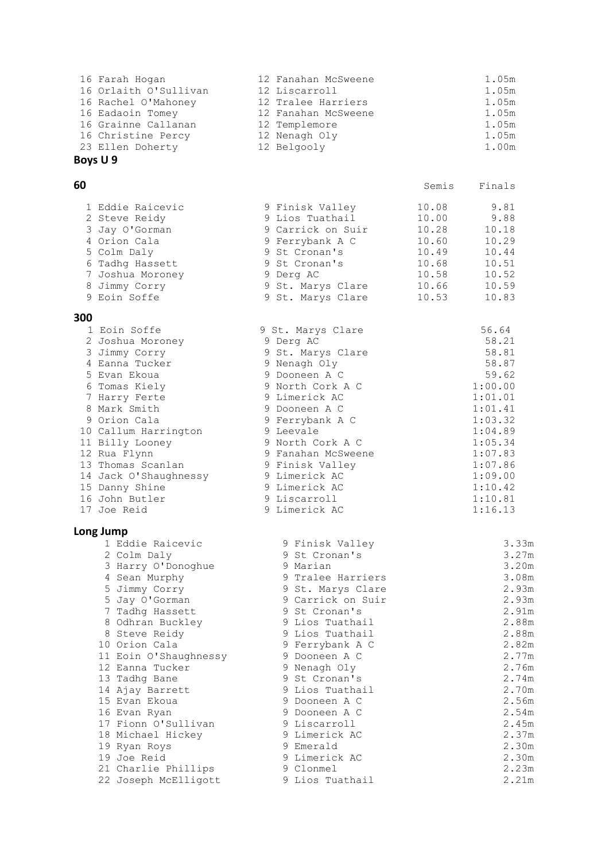| 16 Farah Hogan        | 12 Fanahan McSweene | 1.05m |
|-----------------------|---------------------|-------|
| 16 Orlaith O'Sullivan | 12 Liscarroll       | 1.05m |
| 16 Rachel O'Mahoney   | 12 Tralee Harriers  | 1.05m |
| 16 Eadaoin Tomey      | 12 Fanahan McSweene | 1.05m |
| 16 Grainne Callanan   | 12 Templemore       | 1.05m |
| 16 Christine Percy    | 12 Nenagh Oly       | 1.05m |
| 23 Ellen Doherty      | 12 Belgooly         | 1.00m |
|                       |                     |       |

# **Boys U 9**

#### **60** Semis Finals

| 1 Eddie Raicevic | 9 Finisk Valley   | 10.08 | 9.81  |
|------------------|-------------------|-------|-------|
| 2 Steve Reidy    | 9 Lios Tuathail   | 10.00 | 9.88  |
| 3 Jay O'Gorman   | 9 Carrick on Suir | 10.28 | 10.18 |
| 4 Orion Cala     | 9 Ferrybank A C   | 10.60 | 10.29 |
| 5 Colm Daly      | 9 St Cronan's     | 10.49 | 10.44 |
| 6 Tadhq Hassett  | 9 St Cronan's     | 10.68 | 10.51 |
| 7 Joshua Moroney | 9 Derg AC         | 10.58 | 10.52 |
| 8 Jimmy Corry    | 9 St. Marys Clare | 10.66 | 10.59 |
| 9 Eoin Soffe     | 9 St. Marys Clare | 10.53 | 10.83 |
|                  |                   |       |       |

#### **300**

| 300 |                       |                    |         |
|-----|-----------------------|--------------------|---------|
|     | 1 Eoin Soffe          | 9 St. Marys Clare  | 56.64   |
|     | 2 Joshua Moroney      | 9 Derg AC          | 58.21   |
|     | 3 Jimmy Corry         | 9 St. Marys Clare  | 58.81   |
|     | 4 Eanna Tucker        | 9 Nenagh Oly       | 58.87   |
|     | 5 Evan Ekoua          | 9 Dooneen A C      | 59.62   |
|     | 6 Tomas Kiely         | 9 North Cork A C   | 1:00.00 |
|     | 7 Harry Ferte         | 9 Limerick AC      | 1:01.01 |
|     | 8 Mark Smith          | 9 Dooneen A C      | 1:01.41 |
|     | 9 Orion Cala          | 9 Ferrybank A C    | 1:03.32 |
|     | 10 Callum Harrington  | 9 Leevale          | 1:04.89 |
|     | 11 Billy Looney       | 9 North Cork A C   | 1:05.34 |
|     | 12 Rua Flynn          | 9 Fanahan McSweene | 1:07.83 |
|     | 13 Thomas Scanlan     | 9 Finisk Valley    | 1:07.86 |
|     | 14 Jack O'Shaughnessy | 9 Limerick AC      | 1:09.00 |
|     | 15 Danny Shine        | 9 Limerick AC      | 1:10.42 |
|     | 16 John Butler        | 9 Liscarroll       | 1:10.81 |
|     | 17 Joe Reid           | 9 Limerick AC      | 1:16.13 |
|     | Long Jump             |                    |         |
|     | 1 Eddie Raicevic      | 9 Finisk Valley    | 3.33m   |
|     | 2 Colm Daly           | 9 St Cronan's      | 3.27m   |
|     | 3 Harry O'Donoghue    | 9 Marian           | 3.20m   |
|     | 4 Sean Murphy         | 9 Tralee Harriers  | 3.08m   |
|     | 5 Jimmy Corry         | 9 St. Marys Clare  | 2.93m   |
|     | 5 Jay O'Gorman        | 9 Carrick on Suir  | 2.93m   |
|     | 7 Tadhq Hassett       | 9 St Cronan's      | 2.91m   |
|     | 8 Odhran Buckley      | 9 Lios Tuathail    | 2.88m   |
|     | 8 Steve Reidy         | 9 Lios Tuathail    | 2.88m   |
|     | 10 Orion Cala         | 9 Ferrybank A C    | 2.82m   |
|     | 11 Eoin O'Shaughnessy | 9 Dooneen A C      | 2.77m   |
|     | 12 Eanna Tucker       | 9 Nenagh Oly       | 2.76m   |
|     | 13 Tadhq Bane         | 9 St Cronan's      | 2.74m   |
|     | 14 Ajay Barrett       | 9 Lios Tuathail    | 2.70m   |
|     | 15 Evan Ekoua         | 9 Dooneen A C      | 2.56m   |
|     | 16 Evan Ryan          | 9 Dooneen A C      | 2.54m   |
|     | 17 Fionn O'Sullivan   | 9 Liscarroll       | 2.45m   |
|     | 18 Michael Hickey     | 9 Limerick AC      | 2.37m   |
|     | 19 Ryan Roys          | 9 Emerald          | 2.30m   |
|     | 19 Joe Reid           | 9 Limerick AC      | 2.30m   |
|     | 21 Charlie Phillips   | 9 Clonmel          | 2.23m   |
|     | 22 Joseph McElligott  | 9 Lios Tuathail    | 2.21m   |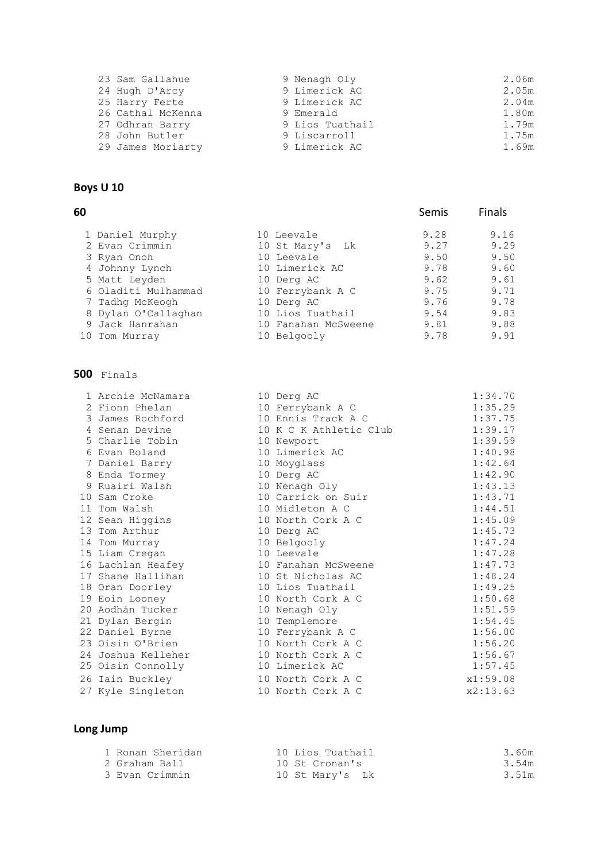| 23 Sam Gallahue   | 9 Nenagh Oly    | 2.06m |
|-------------------|-----------------|-------|
| 24 Hugh D'Arcy    | 9 Limerick AC   | 2.05m |
| 25 Harry Ferte    | 9 Limerick AC   | 2.04m |
| 26 Cathal McKenna | 9 Emerald       | 1.80m |
| 27 Odhran Barry   | 9 Lios Tuathail | 1.79m |
| 28 John Butler    | 9 Liscarroll    | 1.75m |
| 29 James Moriarty | 9 Limerick AC   | 1.69m |

# **Boys U 10**

#### **60** Semis Finals

| 1 Daniel Murphy     | 10 Leevale          | 9.28 | 9.16 |
|---------------------|---------------------|------|------|
| 2 Evan Crimmin      | 10 St Mary's Lk     | 9.27 | 9.29 |
| 3 Ryan Onoh         | 10 Leevale          | 9.50 | 9.50 |
| 4 Johnny Lynch      | 10 Limerick AC      | 9.78 | 9.60 |
| 5 Matt Leyden       | 10 Derg AC          | 9.62 | 9.61 |
| 6 Oladiti Mulhammad | 10 Ferrybank A C    | 9.75 | 9.71 |
| 7 Tadhq McKeogh     | 10 Derg AC          | 9.76 | 9.78 |
| 8 Dylan O'Callaghan | 10 Lios Tuathail    | 9.54 | 9.83 |
| 9 Jack Hanrahan     | 10 Fanahan McSweene | 9.81 | 9.88 |
| 10 Tom Murray       | 10 Belgooly         | 9.78 | 9.91 |

#### **500** Finals

| 1 Archie McNamara  | 10 Derg AC             | 1:34.70  |
|--------------------|------------------------|----------|
| 2 Fionn Phelan     | 10 Ferrybank A C       | 1:35.29  |
| 3 James Rochford   | 10 Ennis Track A C     | 1:37.75  |
| 4 Senan Devine     | 10 K C K Athletic Club | 1:39.17  |
| 5 Charlie Tobin    | 10 Newport             | 1:39.59  |
| 6 Evan Boland      | 10 Limerick AC         | 1:40.98  |
| 7 Daniel Barry     | 10 Moyglass            | 1:42.64  |
| 8 Enda Tormey      | 10 Derg AC             | 1:42.90  |
| 9 Ruairi Walsh     | 10 Nenagh Oly          | 1:43.13  |
| 10 Sam Croke       | 10 Carrick on Suir     | 1:43.71  |
| 11 Tom Walsh       | 10 Midleton A C        | 1:44.51  |
| 12 Sean Higgins    | 10 North Cork A C      | 1:45.09  |
| 13 Tom Arthur      | 10 Derg AC             | 1:45.73  |
| 14 Tom Murray      | 10 Belgooly            | 1:47.24  |
| 15 Liam Cregan     | 10 Leevale             | 1:47.28  |
| 16 Lachlan Heafey  | 10 Fanahan McSweene    | 1:47.73  |
| 17 Shane Hallihan  | 10 St Nicholas AC      | 1:48.24  |
| 18 Oran Doorley    | 10 Lios Tuathail       | 1:49.25  |
| 19 Eoin Looney     | 10 North Cork A C      | 1:50.68  |
| 20 Aodhán Tucker   | 10 Nenagh Oly          | 1:51.59  |
| 21 Dylan Bergin    | 10 Templemore          | 1:54.45  |
| 22 Daniel Byrne    | 10 Ferrybank A C       | 1:56.00  |
| 23 Oisin O'Brien   | 10 North Cork A C      | 1:56.20  |
| 24 Joshua Kelleher | 10 North Cork A C      | 1:56.67  |
| 25 Oisin Connolly  | 10 Limerick AC         | 1:57.45  |
| 26 Iain Buckley    | 10 North Cork A C      | x1:59.08 |
| 27 Kyle Singleton  | 10 North Cork A C      | x2:13.63 |
|                    |                        |          |

| 2 Fionn Phelan     | 10 Ferrybank A C       | 1:35.29  |
|--------------------|------------------------|----------|
| 3 James Rochford   | 10 Ennis Track A C     | 1:37.75  |
| 4 Senan Devine     | 10 K C K Athletic Club | 1:39.17  |
| 5 Charlie Tobin    | 10 Newport             | 1:39.59  |
| 6 Evan Boland      | 10 Limerick AC         | 1:40.98  |
| 7 Daniel Barry     | 10 Moyglass            | 1:42.64  |
| 8 Enda Tormey      | 10 Derg AC             | 1:42.90  |
| 9 Ruairi Walsh     | 10 Nenagh Oly          | 1:43.13  |
| 10 Sam Croke       | 10 Carrick on Suir     | 1:43.71  |
| 11 Tom Walsh       | 10 Midleton A C        | 1:44.51  |
| 12 Sean Higgins    | 10 North Cork A C      | 1:45.09  |
| 13 Tom Arthur      | 10 Derg AC             | 1:45.73  |
| 14 Tom Murray      | 10 Belgooly            | 1:47.24  |
| 15 Liam Cregan     | 10 Leevale             | 1:47.28  |
| 16 Lachlan Heafey  | 10 Fanahan McSweene    | 1:47.73  |
| 17 Shane Hallihan  | 10 St Nicholas AC      | 1:48.24  |
| 18 Oran Doorley    | 10 Lios Tuathail       | 1:49.25  |
| 19 Eoin Looney     | 10 North Cork A C      | 1:50.68  |
| 20 Aodhán Tucker   | 10 Nenagh Oly          | 1:51.59  |
| 21 Dylan Bergin    | 10 Templemore          | 1:54.45  |
| 22 Daniel Byrne    | 10 Ferrybank A C       | 1:56.00  |
| 23 Oisin O'Brien   | 10 North Cork A C      | 1:56.20  |
| 24 Joshua Kelleher | 10 North Cork A C      | 1:56.67  |
| 25 Oisin Connolly  | 10 Limerick AC         | 1:57.45  |
| 26 Iain Buckley    | 10 North Cork A C      | x1:59.08 |
| 27 Kyle Singleton  | 10 North Cork A C      | x2:13.63 |

| 1 Ronan Sheridan | 10 Lios Tuathail | 3.60m |
|------------------|------------------|-------|
| 2 Graham Ball    | 10 St Cronan's   | 3.54m |
| 3 Evan Crimmin   | 10 St Mary's Lk  | 3.51m |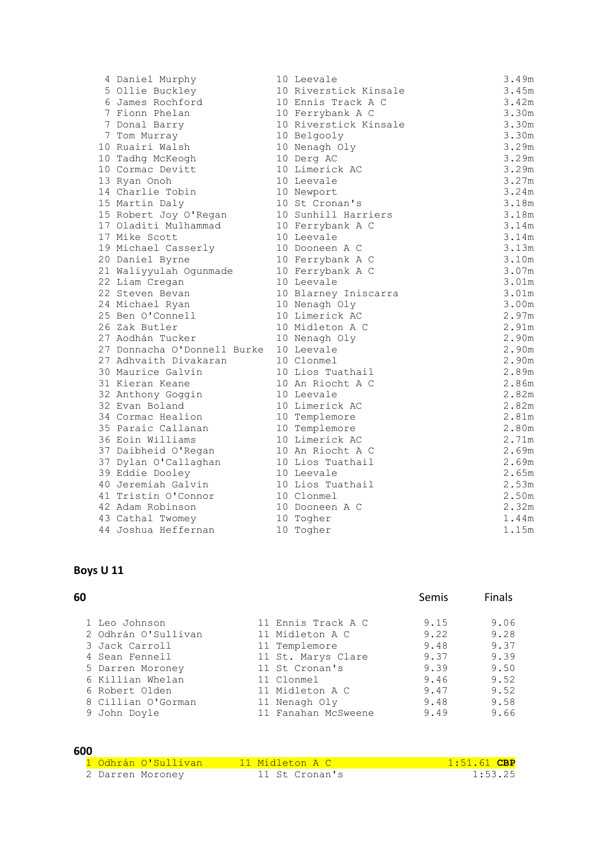| 4 Daniel Murphy                        | 10 Leevale            | 3.49m |
|----------------------------------------|-----------------------|-------|
| 5 Ollie Buckley                        | 10 Riverstick Kinsale | 3.45m |
| 6 James Rochford                       | 10 Ennis Track A C    | 3.42m |
| 7 Fionn Phelan                         | 10 Ferrybank A C      | 3.30m |
| 7 Donal Barry                          | 10 Riverstick Kinsale | 3.30m |
| 7 Tom Murray                           | 10 Belgooly           | 3.30m |
| 10 Ruairi Walsh                        | 10 Nenagh Oly         | 3.29m |
| 10 Tadhq McKeogh                       | 10 Derg AC            | 3.29m |
| 10 Cormac Devitt                       | 10 Limerick AC        | 3.29m |
| 13 Ryan Onoh                           | 10 Leevale            | 3.27m |
| 14 Charlie Tobin                       | 10 Newport            | 3.24m |
| 15 Martin Daly                         | 10 St Cronan's        | 3.18m |
| 15 Robert Joy O'Regan                  | 10 Sunhill Harriers   | 3.18m |
| 17 Oladiti Mulhammad                   | 10 Ferrybank A C      | 3.14m |
| 17 Mike Scott                          | 10 Leevale            | 3.14m |
| 19 Michael Casserly                    | 10 Dooneen A C        | 3.13m |
| 20 Daniel Byrne                        | 10 Ferrybank A C      | 3.10m |
| 21 Waliyyulah Ogunmade                 | 10 Ferrybank A C      | 3.07m |
| 22 Liam Cregan                         | 10 Leevale            | 3.01m |
| 22 Steven Bevan                        | 10 Blarney Iniscarra  | 3.01m |
| 24 Michael Ryan                        | 10 Nenagh Oly         | 3.00m |
| 25 Ben O'Connell                       | 10 Limerick AC        | 2.97m |
| 26 Zak Butler                          | 10 Midleton A C       | 2.91m |
| 27 Aodhán Tucker                       | 10 Nenagh Oly         | 2.90m |
| 27 Donnacha O'Donnell Burke 10 Leevale |                       | 2.90m |
| 27 Adhvaith Divakaran                  | 10 Clonmel            | 2.90m |
| 30 Maurice Galvin                      | 10 Lios Tuathail      | 2.89m |
| 31 Kieran Keane                        | 10 An Riocht A C      | 2.86m |
| 32 Anthony Goggin                      | 10 Leevale            | 2.82m |
| 32 Evan Boland                         | 10 Limerick AC        | 2.82m |
| 34 Cormac Healion                      | 10 Templemore         | 2.81m |
| 35 Paraic Callanan                     | 10 Templemore         | 2.80m |
| 36 Eoin Williams                       | 10 Limerick AC        | 2.71m |
| 37 Daibheid O'Regan                    | 10 An Riocht A C      | 2.69m |
| 37 Dylan O'Callaghan                   | 10 Lios Tuathail      | 2.69m |
| 39 Eddie Dooley                        | 10 Leevale            | 2.65m |
| 40 Jeremiah Galvin                     | 10 Lios Tuathail      | 2.53m |
| 41 Tristin O'Connor                    | 10 Clonmel            | 2.50m |
| 42 Adam Robinson                       | 10 Dooneen A C        | 2.32m |
| 43 Cathal Twomey                       | 10 Togher             | 1.44m |
| 44 Joshua Heffernan                    | 10 Togher             | 1.15m |

# **Boys U 11**

| 60 | Semis | Finals |
|----|-------|--------|
|    |       |        |

| 1 Leo Johnson  |                     | 11 Ennis Track A C  | 9.15 | 9.06 |
|----------------|---------------------|---------------------|------|------|
|                | 2 Odhrán O'Sullivan | 11 Midleton A C     | 9.22 | 9.28 |
| 3 Jack Carroll |                     | 11 Templemore       | 9.48 | 9.37 |
| 4 Sean Fennell |                     | 11 St. Marys Clare  | 9.37 | 9.39 |
|                | 5 Darren Moroney    | 11 St Cronan's      | 9.39 | 9.50 |
|                | 6 Killian Whelan    | 11 Clonmel          | 9.46 | 9.52 |
| 6 Robert Olden |                     | 11 Midleton A C     | 9.47 | 9.52 |
|                | 8 Cillian O'Gorman  | 11 Nenagh Oly       | 9.48 | 9.58 |
| 9 John Doyle   |                     | 11 Fanahan McSweene | 9.49 | 9.66 |

#### **600**

| <u>1 Odhrán O'Sullivan </u> | <u>. 11 Midleton A C.</u> | $1:51.61$ CBP |
|-----------------------------|---------------------------|---------------|
| 2 Darren Moroney            | 11 St Cronan's            | 1:53.25       |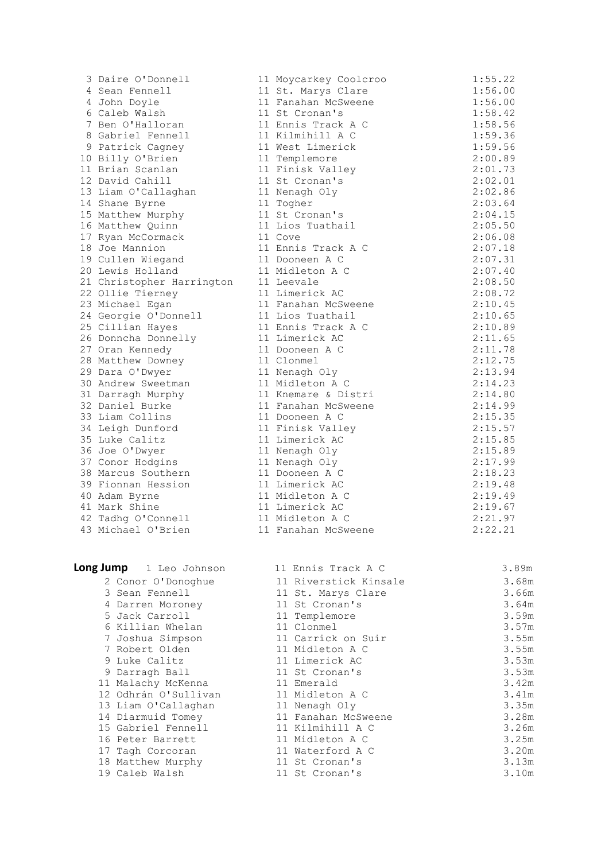| 3               | Daire O'Donnell                                    |
|-----------------|----------------------------------------------------|
| 4               | Sean Fennell                                       |
| 4               | John Doyle                                         |
| 6               | Caleb Walsh                                        |
| 7               | Ben O'Halloran                                     |
| 8               | Gabriel Fennell                                    |
| 9               | Patrick Cagney                                     |
| 10 <sub>o</sub> | Billy O'Brien                                      |
| 11              | Brian Scanlan                                      |
| 12              | David Cahill                                       |
|                 | 13 Liam O'Callaghan                                |
|                 | 14 Shane Byrne                                     |
| 15              | Matthew Murphy                                     |
| 16              | Matthew Quinn                                      |
| 17              | Ryan McCormack                                     |
| 18              | Joe Mannion                                        |
| 19              | Cullen Wiegand                                     |
| 20              | Lewis Holland                                      |
| 21              | Christopher Harringto                              |
| 22              | Ollie Tierney                                      |
| 23              |                                                    |
| 24              | Michael Egan<br>Georgie O'Donnell<br>Cillian Hayes |
| 25              |                                                    |
| 26              | Donncha Donnelly                                   |
| 27              | Oran Kennedy                                       |
| 28              | Matthew Downey                                     |
| 29              | Dara O'Dwyer                                       |
| 30              | Andrew Sweetman                                    |
| 31              | Darragh Murphy                                     |
| 32              | Daniel Burke                                       |
| 33              | Liam Collins                                       |
| 34              | Leigh Dunford                                      |
| 35              | Luke Calitz                                        |
| 36              |                                                    |
| 37              | Joe O'Dwyer<br>Conor Hodgins                       |
| 38              | Marcus Southern                                    |
| 39              | Fionnan Hession                                    |
| 40              | Adam Byrne                                         |
|                 | 41 Mark Shine                                      |
|                 | 42 Tadhg O'Connell                                 |
|                 | 43 Michael O'Brien                                 |
|                 |                                                    |
|                 |                                                    |

| 3 Daire O'Donnell         | 11 Moycarkey Coolcroo | 1:55.22 |
|---------------------------|-----------------------|---------|
| 4 Sean Fennell            | 11 St. Marys Clare    | 1:56.00 |
| 4 John Doyle              | 11 Fanahan McSweene   | 1:56.00 |
| 6 Caleb Walsh             | 11 St Cronan's        | 1:58.42 |
| 7 Ben O'Halloran          | 11 Ennis Track A C    | 1:58.56 |
| 8 Gabriel Fennell         | 11 Kilmihill A C      | 1:59.36 |
| 9 Patrick Cagney          | 11 West Limerick      | 1:59.56 |
| 10 Billy O'Brien          | 11 Templemore         | 2:00.89 |
| 11 Brian Scanlan          | 11 Finisk Valley      | 2:01.73 |
| 12 David Cahill           | 11 St Cronan's        | 2:02.01 |
| 13 Liam O'Callaghan       | 11 Nenagh Oly         | 2:02.86 |
| 14 Shane Byrne            | 11 Togher             | 2:03.64 |
| 15 Matthew Murphy         | 11 St Cronan's        | 2:04.15 |
| 16 Matthew Quinn          | 11 Lios Tuathail      | 2:05.50 |
| 17 Ryan McCormack         | 11 Cove               | 2:06.08 |
| 18 Joe Mannion            | 11 Ennis Track A C    | 2:07.18 |
| 19 Cullen Wiegand         | 11 Dooneen A C        | 2:07.31 |
| 20 Lewis Holland          | 11 Midleton A C       | 2:07.40 |
| 21 Christopher Harrington | 11 Leevale            | 2:08.50 |
| 22 Ollie Tierney          | 11 Limerick AC        | 2:08.72 |
| 23 Michael Egan           | 11 Fanahan McSweene   | 2:10.45 |
| 24 Georgie O'Donnell      | 11 Lios Tuathail      | 2:10.65 |
| 25 Cillian Hayes          | 11 Ennis Track A C    | 2:10.89 |
| 26 Donncha Donnelly       | 11 Limerick AC        | 2:11.65 |
| 27 Oran Kennedy           | 11 Dooneen A C        | 2:11.78 |
| 28 Matthew Downey         | 11 Clonmel            | 2:12.75 |
| 29 Dara O'Dwyer           | 11 Nenagh Oly         | 2:13.94 |
| 30 Andrew Sweetman        | 11 Midleton A C       | 2:14.23 |
| 31 Darragh Murphy         | 11 Knemare & Distri   | 2:14.80 |
| 32 Daniel Burke           | 11 Fanahan McSweene   | 2:14.99 |
| 33 Liam Collins           | 11 Dooneen A C        | 2:15.35 |
| 34 Leigh Dunford          | 11 Finisk Valley      | 2:15.57 |
| 35 Luke Calitz            | 11 Limerick AC        | 2:15.85 |
| 36 Joe O'Dwyer            | 11 Nenagh Oly         | 2:15.89 |
| 37 Conor Hodgins          | 11 Nenagh Oly         | 2:17.99 |
| 38 Marcus Southern        | 11 Dooneen A C        | 2:18.23 |
| 39 Fionnan Hession        | 11 Limerick AC        | 2:19.48 |
| 40 Adam Byrne             | 11 Midleton A C       | 2:19.49 |
| 41 Mark Shine             | 11 Limerick AC        | 2:19.67 |
| 42 Tadhg O'Connell        | 11 Midleton A C       | 2:21.97 |
| 43 Michael O'Brien        | 11 Fanahan McSweene   | 2:22.21 |

| Long Jump 1 Leo Johnson | 11 Ennis Track A C    | 3.89m |
|-------------------------|-----------------------|-------|
| 2 Conor O'Donoghue      | 11 Riverstick Kinsale | 3.68m |
| 3 Sean Fennell          | 11 St. Marys Clare    | 3.66m |
| 4 Darren Moroney        | 11 St Cronan's        | 3.64m |
| 5 Jack Carroll          | 11 Templemore         | 3.59m |
| 6 Killian Whelan        | 11 Clonmel            | 3.57m |
| 7 Joshua Simpson        | 11 Carrick on Suir    | 3.55m |
| 7 Robert Olden          | 11 Midleton A C       | 3.55m |
| 9 Luke Calitz           | 11 Limerick AC        | 3.53m |
| 9 Darragh Ball          | 11 St Cronan's        | 3.53m |
| 11 Malachy McKenna      | 11 Emerald            | 3.42m |
| 12 Odhrán O'Sullivan    | 11 Midleton A C       | 3.41m |
| 13 Liam O'Callaghan     | 11 Nenagh Oly         | 3.35m |
| 14 Diarmuid Tomey       | 11 Fanahan McSweene   | 3.28m |
| 15 Gabriel Fennell      | 11 Kilmihill A C      | 3.26m |
| 16 Peter Barrett        | 11 Midleton A C       | 3.25m |
| 17 Tagh Corcoran        | 11 Waterford A C      | 3.20m |
| 18 Matthew Murphy       | 11 St Cronan's        | 3.13m |
| 19 Caleb Walsh          | 11 St Cronan's        | 3.10m |
|                         |                       |       |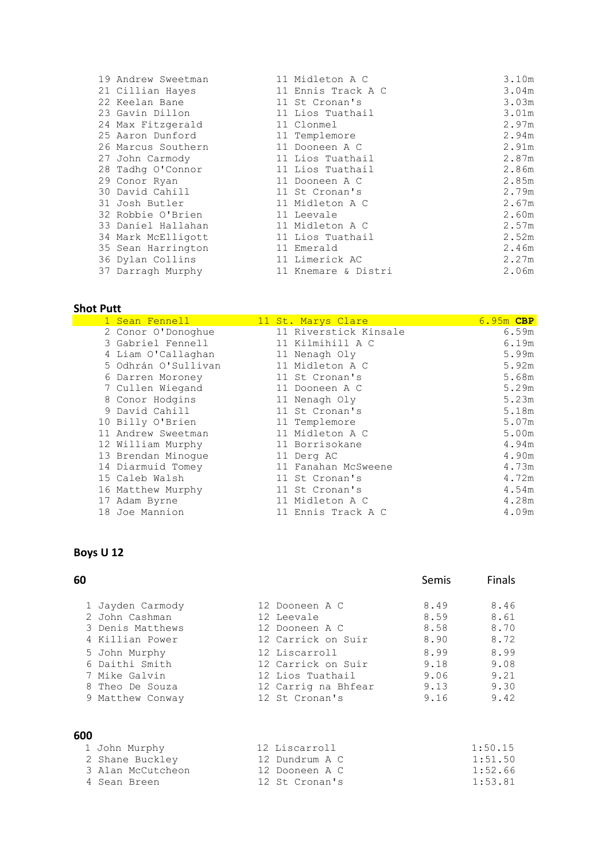| 19 Andrew Sweetman | 11 Midleton A C     | 3.10m |
|--------------------|---------------------|-------|
| 21 Cillian Hayes   | 11 Ennis Track A C  | 3.04m |
| 22 Keelan Bane     | 11 St Cronan's      | 3.03m |
| 23 Gavin Dillon    | 11 Lios Tuathail    | 3.01m |
| 24 Max Fitzgerald  | 11 Clonmel          | 2.97m |
| 25 Aaron Dunford   | 11 Templemore       | 2.94m |
| 26 Marcus Southern | 11 Dooneen A C      | 2.91m |
| 27 John Carmody    | 11 Lios Tuathail    | 2.87m |
| 28 Tadhq O'Connor  | 11 Lios Tuathail    | 2.86m |
| 29 Conor Ryan      | 11 Dooneen A C      | 2.85m |
| 30 David Cahill    | 11 St Cronan's      | 2.79m |
| 31 Josh Butler     | 11 Midleton A C     | 2.67m |
| 32 Robbie O'Brien  | 11 Leevale          | 2.60m |
| 33 Daniel Hallahan | 11 Midleton A C     | 2.57m |
| 34 Mark McElligott | 11 Lios Tuathail    | 2.52m |
| 35 Sean Harrington | 11 Emerald          | 2.46m |
| 36 Dylan Collins   | 11 Limerick AC      | 2.27m |
| 37 Darragh Murphy  | 11 Knemare & Distri | 2.06m |

# **Shot Putt**

| 1 Sean Fennell      | 11 St. Marys Clare    | 6.95m CBP |
|---------------------|-----------------------|-----------|
| 2 Conor O'Donoghue  | 11 Riverstick Kinsale | 6.59m     |
| 3 Gabriel Fennell   | 11 Kilmihill A C      | 6.19m     |
| 4 Liam O'Callaghan  | 11 Nenagh Oly         | 5.99m     |
| 5 Odhrán O'Sullivan | 11 Midleton A C       | 5.92m     |
| 6 Darren Moroney    | 11 St Cronan's        | 5.68m     |
| 7 Cullen Wiegand    | 11 Dooneen A C        | 5.29m     |
| 8 Conor Hodgins     | 11 Nenagh Oly         | 5.23m     |
| 9 David Cahill      | 11 St Cronan's        | 5.18m     |
| 10 Billy O'Brien    | 11 Templemore         | 5.07m     |
| 11 Andrew Sweetman  | 11 Midleton A C       | 5.00m     |
| 12 William Murphy   | 11 Borrisokane        | 4.94m     |
| 13 Brendan Minoque  | 11 Derg AC            | 4.90m     |
| 14 Diarmuid Tomey   | 11 Fanahan McSweene   | 4.73m     |
| 15 Caleb Walsh      | 11 St Cronan's        | 4.72m     |
| 16 Matthew Murphy   | 11 St Cronan's        | 4.54m     |
| 17 Adam Byrne       | 11 Midleton A C       | 4.28m     |
| 18 Joe Mannion      | 11 Ennis Track A C    | 4.09m     |

#### **Boys U 12**

| 60               |                     | <b>Semis</b> | <b>Finals</b> |
|------------------|---------------------|--------------|---------------|
| 1 Jayden Carmody | 12 Dooneen A C      | 8.49         | 8.46          |
| 2 John Cashman   | 12 Leevale          | 8.59         | 8.61          |
| 3 Denis Matthews | 12 Dooneen A C      | 8.58         | 8.70          |
| 4 Killian Power  | 12 Carrick on Suir  | 8.90         | 8.72          |
| 5 John Murphy    | 12 Liscarroll       | 8.99         | 8.99          |
| 6 Daithi Smith   | 12 Carrick on Suir  | 9.18         | 9.08          |
| 7 Mike Galvin    | 12 Lios Tuathail    | 9.06         | 9.21          |
| 8 Theo De Souza  | 12 Carrig na Bhfear | 9.13         | 9.30          |
| 9 Matthew Conway | 12 St Cronan's      | 9.16         | 9.42          |
| 600              |                     |              |               |

| 1 John Murphy     | 12 Liscarroll  | 1:50.15 |
|-------------------|----------------|---------|
| 2 Shane Buckley   | 12 Dundrum A C | 1:51.50 |
| 3 Alan McCutcheon | 12 Dooneen A C | 1:52.66 |
| 4 Sean Breen      | 12 St Cronan's | 1:53.81 |
|                   |                |         |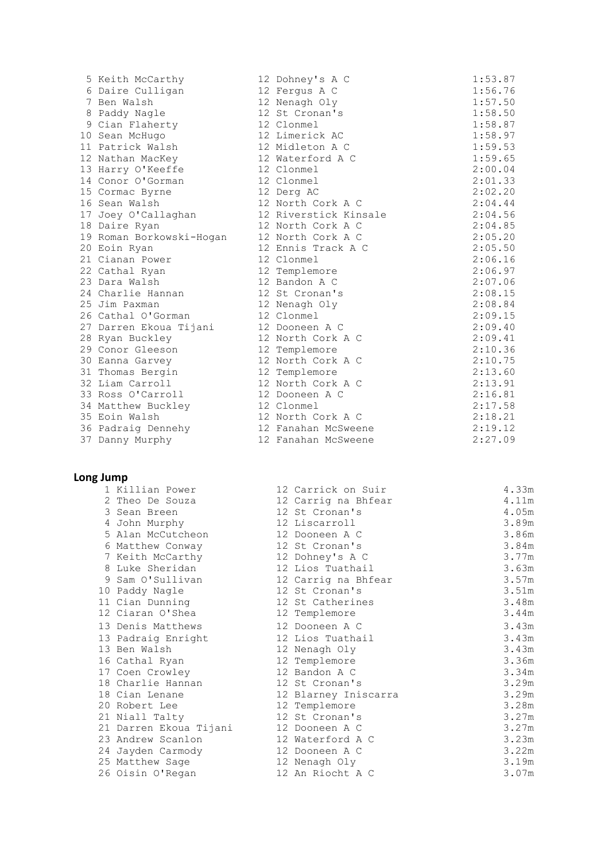| 5 Keith McCarthy         | 12 Dohney's A C       | 1:53.87 |
|--------------------------|-----------------------|---------|
| 6 Daire Culligan         | 12 Fergus A C         | 1:56.76 |
| 7 Ben Walsh              | 12 Nenagh Oly         | 1:57.50 |
| 8 Paddy Nagle            | 12 St Cronan's        | 1:58.50 |
| 9 Cian Flaherty          | 12 Clonmel            | 1:58.87 |
| 10 Sean McHugo           | 12 Limerick AC        | 1:58.97 |
| 11 Patrick Walsh         | 12 Midleton A C       | 1:59.53 |
| 12 Nathan MacKey         | 12 Waterford A C      | 1:59.65 |
| 13 Harry O'Keeffe        | 12 Clonmel            | 2:00.04 |
| 14 Conor O'Gorman        | 12 Clonmel            | 2:01.33 |
| 15 Cormac Byrne          | 12 Derg AC            | 2:02.20 |
| 16 Sean Walsh            | 12 North Cork A C     | 2:04.44 |
| 17 Joey O'Callaghan      | 12 Riverstick Kinsale | 2:04.56 |
| 18 Daire Ryan            | 12 North Cork A C     | 2:04.85 |
| 19 Roman Borkowski-Hogan | 12 North Cork A C     | 2:05.20 |
| 20 Eoin Ryan             | 12 Ennis Track A C    | 2:05.50 |
| 21 Cianan Power          | 12 Clonmel            | 2:06.16 |
| 22 Cathal Ryan           | 12 Templemore         | 2:06.97 |
| 23 Dara Walsh            | 12 Bandon A C         | 2:07.06 |
| 24 Charlie Hannan        | 12 St Cronan's        | 2:08.15 |
| 25 Jim Paxman            | 12 Nenagh Oly         | 2:08.84 |
| 26 Cathal O'Gorman       | 12 Clonmel            | 2:09.15 |
| 27 Darren Ekoua Tijani   | 12 Dooneen A C        | 2:09.40 |
| 28 Ryan Buckley          | 12 North Cork A C     | 2:09.41 |
| 29 Conor Gleeson         | 12 Templemore         | 2:10.36 |
| 30 Eanna Garvey          | 12 North Cork A C     | 2:10.75 |
| 31 Thomas Bergin         | 12 Templemore         | 2:13.60 |
| 32 Liam Carroll          | 12 North Cork A C     | 2:13.91 |
| 33 Ross O'Carroll        | 12 Dooneen A C        | 2:16.81 |
| 34 Matthew Buckley       | 12 Clonmel            | 2:17.58 |
| 35 Eoin Walsh            | 12 North Cork A C     | 2:18.21 |
| 36 Padraig Dennehy       | 12 Fanahan McSweene   | 2:19.12 |
| 37 Danny Murphy          | 12 Fanahan McSweene   | 2:27.09 |
|                          |                       |         |
|                          |                       |         |

| 1 Killian Power        | 12 Carrick on Suir   | 4.33m |
|------------------------|----------------------|-------|
| 2 Theo De Souza        | 12 Carrig na Bhfear  | 4.11m |
| 3 Sean Breen           | 12 St Cronan's       | 4.05m |
| 4 John Murphy          | 12 Liscarroll        | 3.89m |
| 5 Alan McCutcheon      | 12 Dooneen A C       | 3.86m |
| 6 Matthew Conway       | 12 St Cronan's       | 3.84m |
| 7 Keith McCarthy       | 12 Dohney's A C      | 3.77m |
| 8 Luke Sheridan        | 12 Lios Tuathail     | 3.63m |
| 9 Sam O'Sullivan       | 12 Carrig na Bhfear  | 3.57m |
| 10 Paddy Nagle         | 12 St Cronan's       | 3.51m |
| 11 Cian Dunning        | 12 St Catherines     | 3.48m |
| 12 Ciaran O'Shea       | 12 Templemore        | 3.44m |
| 13 Denis Matthews      | 12 Dooneen A C       | 3.43m |
| 13 Padraig Enright     | 12 Lios Tuathail     | 3.43m |
| 13 Ben Walsh           | 12 Nenagh Oly        | 3.43m |
| 16 Cathal Ryan         | 12 Templemore        | 3.36m |
| 17 Coen Crowley        | 12 Bandon A C        | 3.34m |
| 18 Charlie Hannan      | 12 St Cronan's       | 3.29m |
| 18 Cian Lenane         | 12 Blarney Iniscarra | 3.29m |
| 20 Robert Lee          | 12 Templemore        | 3.28m |
| 21 Niall Talty         | 12 St Cronan's       | 3.27m |
| 21 Darren Ekoua Tijani | 12 Dooneen A C       | 3.27m |
| 23 Andrew Scanlon      | 12 Waterford A C     | 3.23m |
| 24 Jayden Carmody      | 12 Dooneen A C       | 3.22m |
| 25 Matthew Sage        | 12 Nenagh Oly        | 3.19m |
| 26 Oisin O'Regan       | 12 An Riocht A C     | 3.07m |